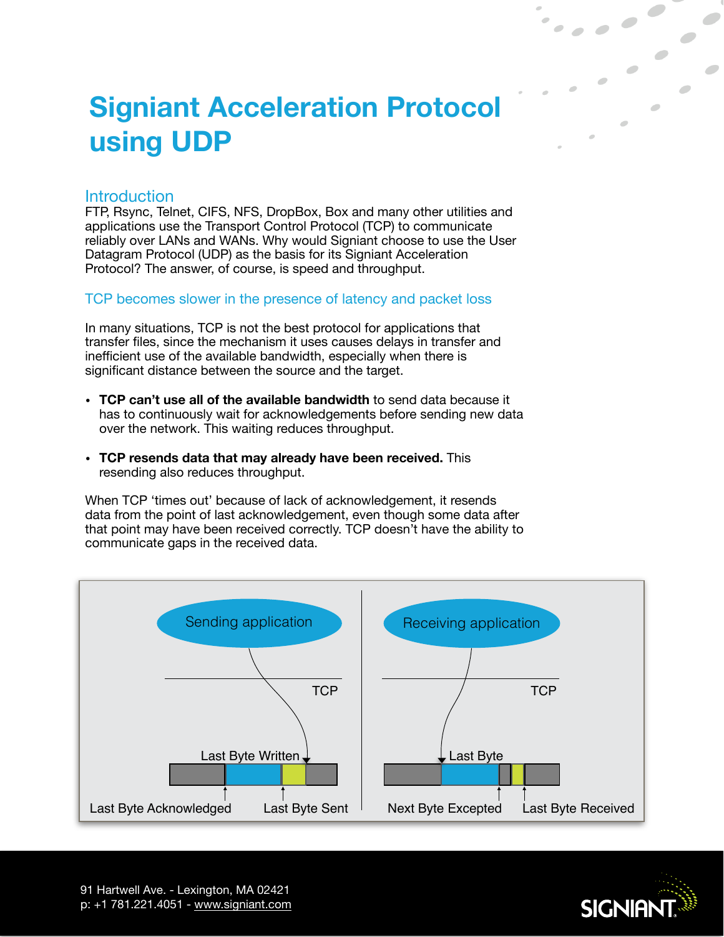# **Signiant Acceleration Protocol using UDP**

#### **Introduction**

FTP, Rsync, Telnet, CIFS, NFS, DropBox, Box and many other utilities and applications use the Transport Control Protocol (TCP) to communicate reliably over LANs and WANs. Why would Signiant choose to use the User Datagram Protocol (UDP) as the basis for its Signiant Acceleration Protocol? The answer, of course, is speed and throughput.

TCP becomes slower in the presence of latency and packet loss

In many situations, TCP is not the best protocol for applications that transfer files, since the mechanism it uses causes delays in transfer and inefficient use of the available bandwidth, especially when there is significant distance between the source and the target.

- **TCP can't use all of the available bandwidth** to send data because it has to continuously wait for acknowledgements before sending new data over the network. This waiting reduces throughput.
- **TCP resends data that may already have been received.** This resending also reduces throughput.

When TCP 'times out' because of lack of acknowledgement, it resends data from the point of last acknowledgement, even though some data after that point may have been received correctly. TCP doesn't have the ability to communicate gaps in the received data.